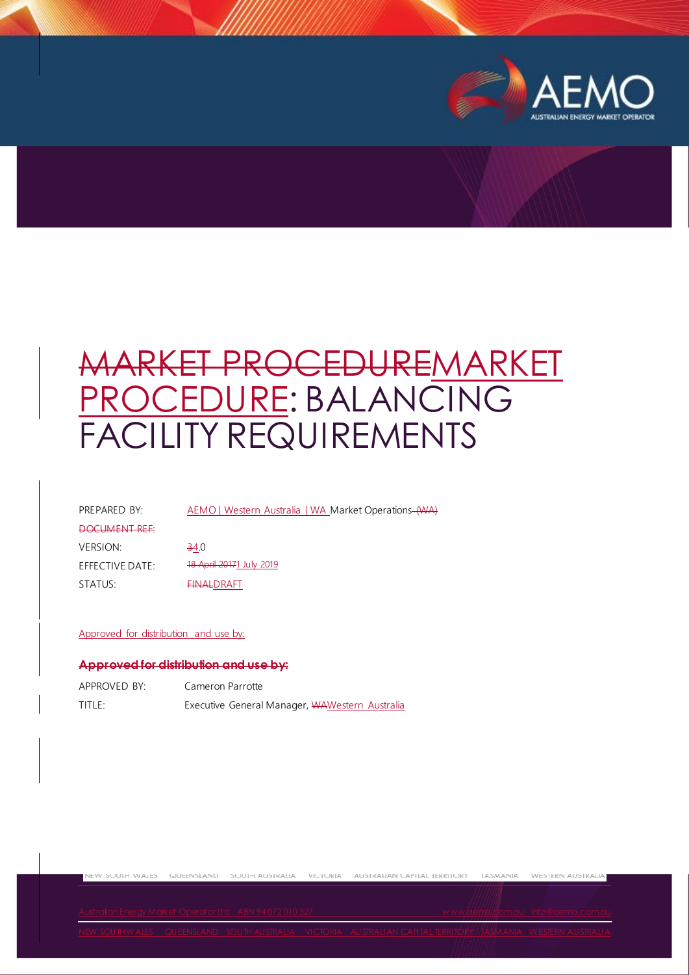

# MARKET PROCEDUREMARKET PROCEDURE: BALANCING FACILITY REQUIREMENTS

PREPARED BY: AEMO | Western Australia | WA Market Operations (WA)

DOCUMENT REF:  $VERSION:$   $\frac{34.0}{24}$ EFFECTIVE DATE: 18 April 20171 July 2019 STATUS: FINALDRAFT

#### Approved for distribution and use by:

#### **Approved for distribution and use by:**

| APPROVED BY: | Cameron Parrotte                               |  |
|--------------|------------------------------------------------|--|
| title:       | Executive General Manager, WAWestern Australia |  |

new Suutit Wales - Gueensland - Suutit Australia - Yigturia - Australian Gaphal Territur - Tasmania - Western Australia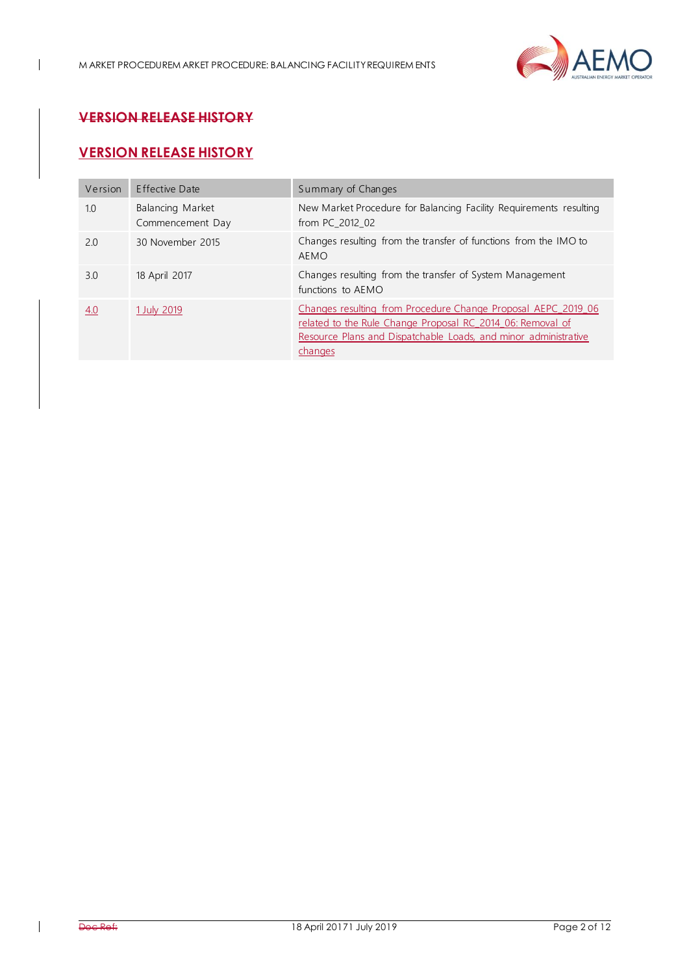

# **VERSION RELEASE HISTORY**

 $\overline{1}$ 

# **VERSION RELEASE HISTORY**

| Version | Effective Date                       | Summary of Changes                                                                                                                                                                                        |
|---------|--------------------------------------|-----------------------------------------------------------------------------------------------------------------------------------------------------------------------------------------------------------|
| 1.0     | Balancing Market<br>Commencement Day | New Market Procedure for Balancing Facility Requirements resulting<br>from PC_2012_02                                                                                                                     |
| 2.0     | 30 November 2015                     | Changes resulting from the transfer of functions from the IMO to<br>AEMO                                                                                                                                  |
| 3.0     | 18 April 2017                        | Changes resulting from the transfer of System Management<br>functions to AEMO                                                                                                                             |
| 4.0     | 1 July 2019                          | Changes resulting from Procedure Change Proposal AEPC 2019 06<br>related to the Rule Change Proposal RC 2014 06: Removal of<br>Resource Plans and Dispatchable Loads, and minor administrative<br>changes |

 $\mathsf{l}$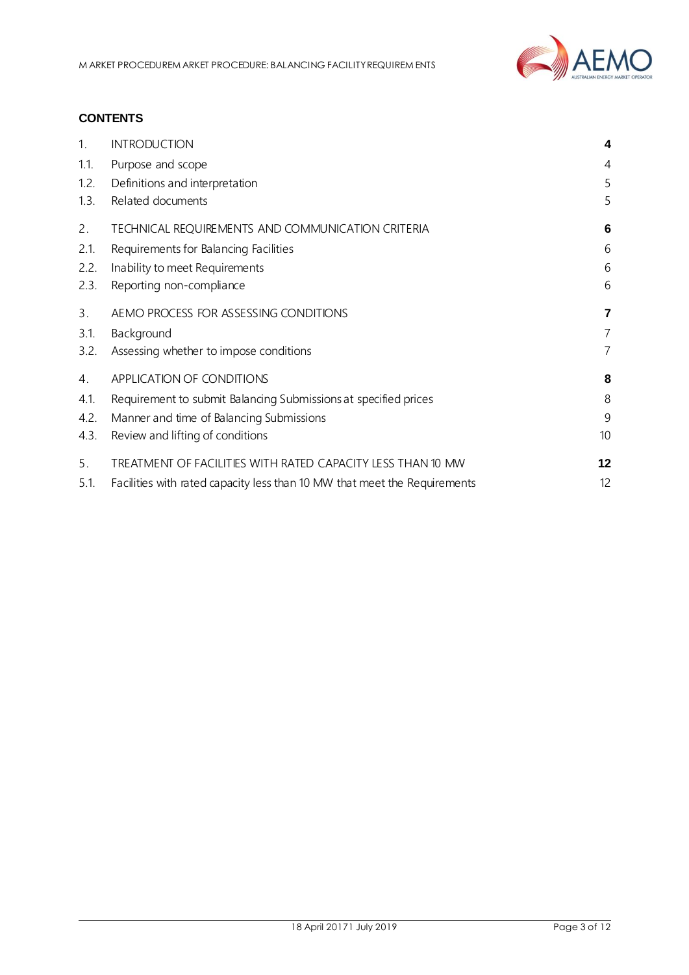

## **CONTENTS**

| 1.   | <b>INTRODUCTION</b>                                                       | 4              |
|------|---------------------------------------------------------------------------|----------------|
| 1.1. | Purpose and scope                                                         | 4              |
| 1.2. | Definitions and interpretation                                            | 5              |
| 1.3. | Related documents                                                         | 5              |
| 2.   | TECHNICAL REQUIREMENTS AND COMMUNICATION CRITERIA                         | 6              |
| 2.1. | Requirements for Balancing Facilities                                     | 6              |
| 2.2. | Inability to meet Requirements                                            | 6              |
| 2.3. | Reporting non-compliance                                                  | 6              |
| 3.   | AEMO PROCESS FOR ASSESSING CONDITIONS                                     | 7              |
| 3.1. | Background                                                                | $\overline{7}$ |
| 3.2. | Assessing whether to impose conditions                                    | 7              |
| 4.   | APPLICATION OF CONDITIONS                                                 | 8              |
| 4.1. | Requirement to submit Balancing Submissions at specified prices           | 8              |
| 4.2. | Manner and time of Balancing Submissions                                  | 9              |
| 4.3. | Review and lifting of conditions                                          | 10             |
| 5.   | TREATMENT OF FACILITIES WITH RATED CAPACITY LESS THAN 10 MW               | 12             |
| 5.1. | Facilities with rated capacity less than 10 MW that meet the Requirements | 12             |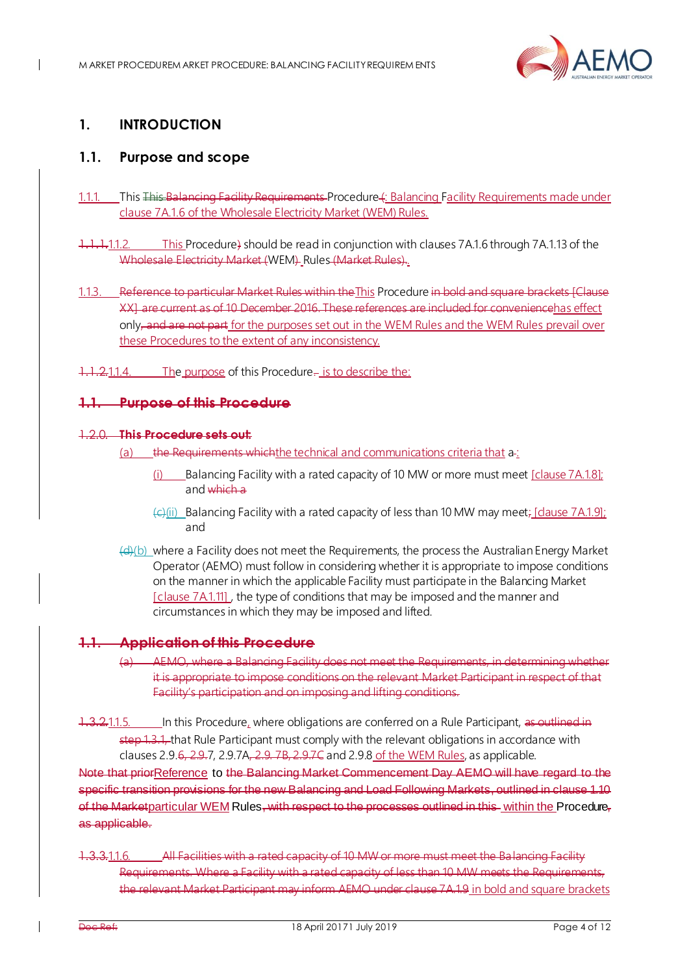

# <span id="page-3-0"></span>**1. INTRODUCTION**

 $\mathbf I$ 

## <span id="page-3-1"></span>**1.1. Purpose and scope**

- 1.1.1. This This Balancing Facility Requirements Procedure 4: Balancing Facility Requirements made under clause 7A.1.6 of the Wholesale Electricity Market (WEM) Rules.
- 1.1.1.1.1.2. This Procedure) should be read in conjunction with clauses 7A.1.6 through 7A.1.13 of the Wholesale Electricity Market (WEM) Rules (Market Rules)..
- 1.1.3. Reference to particular Market Rules within theThis Procedure in bold and square brackets [Clause XX] are current as of 10 December 2016. These references are included for conveniencehas effect only, and are not part for the purposes set out in the WEM Rules and the WEM Rules prevail over these Procedures to the extent of any inconsistency.
- 1.1.2.1.1.4. The purpose of this Procedure- is to describe the:

#### **1.1. Purpose of this Procedure**

#### 1.2.0. **This Procedure sets out:**

- the Requirements which the technical and communications criteria that a-:
	- (i) Balancing Facility with a rated capacity of 10 MW or more must meet  $[clause 7A.1.8]$ ; and which a
	- $\left(\frac{c}{c}\right)$  Balancing Facility with a rated capacity of less than 10 MW may meet; [dause 7A.1.9]; and
- (d)(b) where a Facility does not meet the Requirements, the process the Australian Energy Market Operator (AEMO) must follow in considering whether it is appropriate to impose conditions on the manner in which the applicable Facility must participate in the Balancing Market [clause 7A.1.11], the type of conditions that may be imposed and the manner and circumstances in which they may be imposed and lifted.

## **1.1. Application of this Procedure**

- (a) AEMO, where a Balancing Facility does not meet the Requirements, in determining whether it is appropriate to impose conditions on the relevant Market Participant in respect of that Facility's participation and on imposing and lifting conditions.
- 1.3.2.1.1.5. In this Procedure, where obligations are conferred on a Rule Participant, as outlined in step 1.3.1, that Rule Participant must comply with the relevant obligations in accordance with clauses 2.9.6, 2.9.7, 2.9.7A, 2.9.7B, 2.9.7C and 2.9.8 of the WEM Rules, as applicable.

Note that priorReference to the Balancing Market Commencement Day AEMO will have regard to the specific transition provisions for the new Balancing and Load Following Markets, outlined in clause 1.10 of the Marketparticular WEM Rules, with respect to the processes outlined in this within the Procedure. as applicable.

1.3.3.1.1.6. All Facilities with a rated capacity of 10 MW or more must meet the Balancing Facility Requirements. Where a Facility with a rated capacity of less than 10 MW meets the Requir the relevant Market Participant may inform AEMO under clause 7A.1.9 in bold and square brackets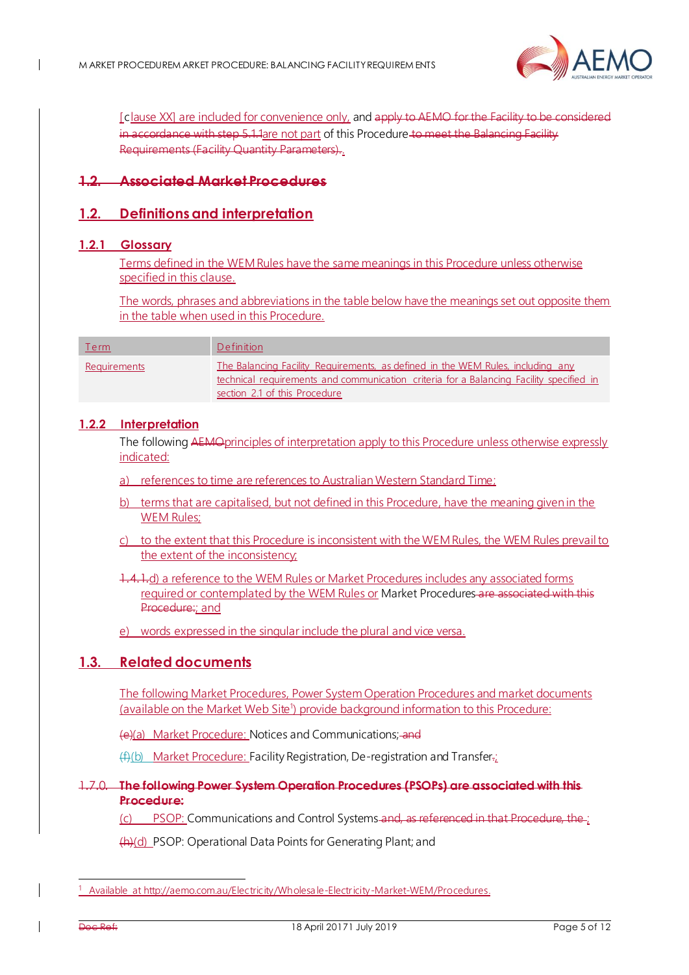

[clause XX] are included for convenience only, and apply to AEMO for the Facility to be in accordance with ste[p 5.1.1a](#page-11-2)re not part of this Procedure to meet the Balancing Facility Requirements (Facility Quantity Parameters)..

## **1.2. Associated Market Procedures**

## <span id="page-4-0"></span>**1.2. Definitions and interpretation**

#### **1.2.1 Glossary**

Terms defined in the WEM Rules have the same meanings in this Procedure unless otherwise specified in this clause.

The words, phrases and abbreviations in the table below have the meanings set out opposite them in the table when used in this Procedure.

| <u>Term</u>  | Definition                                                                                                                                                                                                  |
|--------------|-------------------------------------------------------------------------------------------------------------------------------------------------------------------------------------------------------------|
| Requirements | The Balancing Facility Requirements, as defined in the WEM Rules, including any<br>technical requirements and communication criteria for a Balancing Facility specified in<br>section 2.1 of this Procedure |

#### **1.2.2 Interpretation**

The following AEMO principles of interpretation apply to this Procedure unless otherwise expressly indicated:

- a) references to time are references to Australian Western Standard Time;
- b) terms that are capitalised, but not defined in this Procedure, have the meaning given in the WEM Rules;
- c) to the extent that this Procedure is inconsistent with the WEM Rules, the WEM Rules prevail to the extent of the inconsistency;

1.4.1.d) a reference to the WEM Rules or Market Procedures includes any associated forms required or contemplated by the WEM Rules or Market Procedures are associated with this Procedure: and

e) words expressed in the singular include the plural and vice versa.

#### <span id="page-4-1"></span>**1.3. Related documents**

The following Market Procedures, Power System Operation Procedures and market documents (available on the Market Web Site<sup>1</sup>) provide background information to this Procedure:

(e)(a) Market Procedure: Notices and Communications; and

 $(f_n(t))$  Market Procedure: Facility Registration, De-registration and Transfer.

#### 1.7.0. **The following Power System Operation Procedures (PSOPs) are associated with this Procedure:**

(c) PSOP: Communications and Control Systems and, as referenced in that Procedure, the ;

(h)(d) PSOP: Operational Data Points for Generating Plant; and

-

<sup>1</sup> Available a[t http://aemo.com.au/Electricity/Wholesale-Electricity-Market-WEM/Procedures.](http://aemo.com.au/Electricity/Wholesale-Electricity-Market-WEM/Procedures)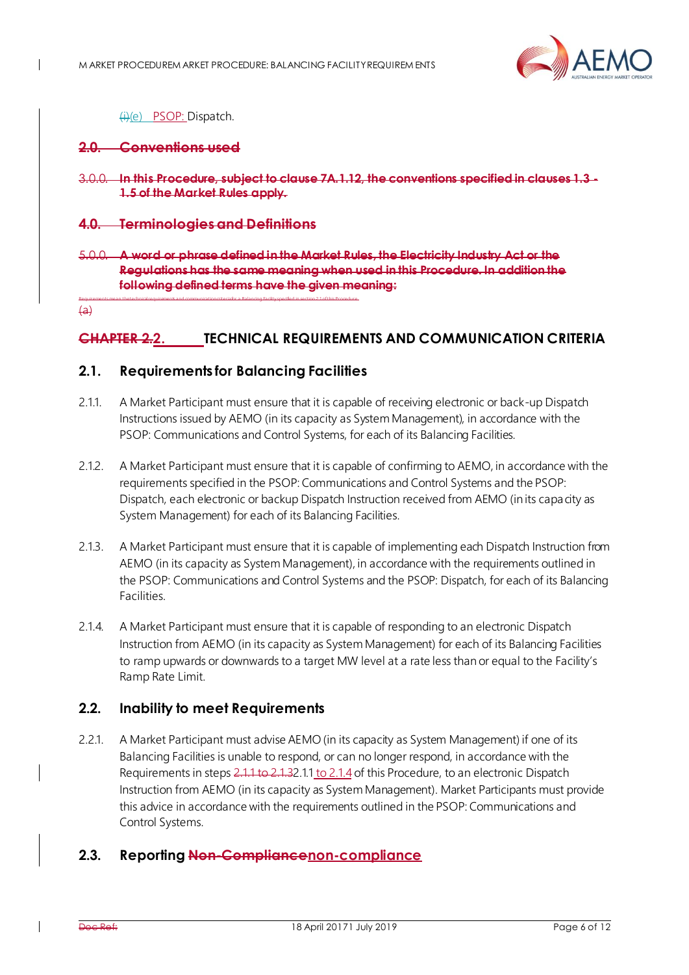

#### (i)(e) PSOP: Dispatch.

#### **2.0. Conventions used**

3.0.0. **In this Procedure, subject to clause 7A.1.12, the conventions specified in clauses 1.3 - 1.5 of the Market Rules apply.**

#### **4.0. Terminologies and Definitions**

5.0.0. **A word or phrase defined in the Market Rules, the Electricity Industry Act or the Regulations has the same meaning when used in this Procedure. In addition the following defined terms have the given meaning:**

<span id="page-5-0"></span> $\overline{a}$ 

#### **CHAPTER 2.2. TECHNICAL REQUIREMENTS AND COMMUNICATION CRITERIA**

#### <span id="page-5-1"></span>**2.1. Requirements for Balancing Facilities**

Requirements mean the technical requirements and communication criteria for a Balancing Facility specified in section 2.1 of this Procedure.

- <span id="page-5-4"></span>2.1.1. A Market Participant must ensure that it is capable of receiving electronic or back-up Dispatch Instructions issued by AEMO (in its capacity as System Management), in accordance with the PSOP: Communications and Control Systems, for each of its Balancing Facilities.
- <span id="page-5-7"></span>2.1.2. A Market Participant must ensure that it is capable of confirming to AEMO, in accordance with the requirements specified in the PSOP: Communications and Control Systems and the PSOP: Dispatch, each electronic or backup Dispatch Instruction received from AEMO (in its capacity as System Management) for each of its Balancing Facilities.
- <span id="page-5-5"></span>2.1.3. A Market Participant must ensure that it is capable of implementing each Dispatch Instruction from AEMO (in its capacity as System Management), in accordance with the requirements outlined in the PSOP: Communications and Control Systems and the PSOP: Dispatch, for each of its Balancing **Facilities**
- <span id="page-5-6"></span>2.1.4. A Market Participant must ensure that it is capable of responding to an electronic Dispatch Instruction from AEMO (in its capacity as System Management) for each of its Balancing Facilities to ramp upwards or downwards to a target MW level at a rate less than or equal to the Facility's Ramp Rate Limit.

## <span id="page-5-2"></span>**2.2. Inability to meet Requirements**

2.2.1. A Market Participant must advise AEMO (in its capacity as System Management) if one of its Balancing Facilities is unable to respond, or can no longer respond, in accordance with the Requirements in step[s 2.1.1](#page-5-4) t[o 2.1.](#page-5-5)[32.1.1](#page-5-4) to 2.1.4 of this Procedure, to an electronic Dispatch Instruction from AEMO (in its capacity as System Management). Market Participants must provide this advice in accordance with the requirements outlined in the PSOP: Communications and Control Systems.

#### <span id="page-5-3"></span>**2.3. Reporting Non-Compliancenon-compliance**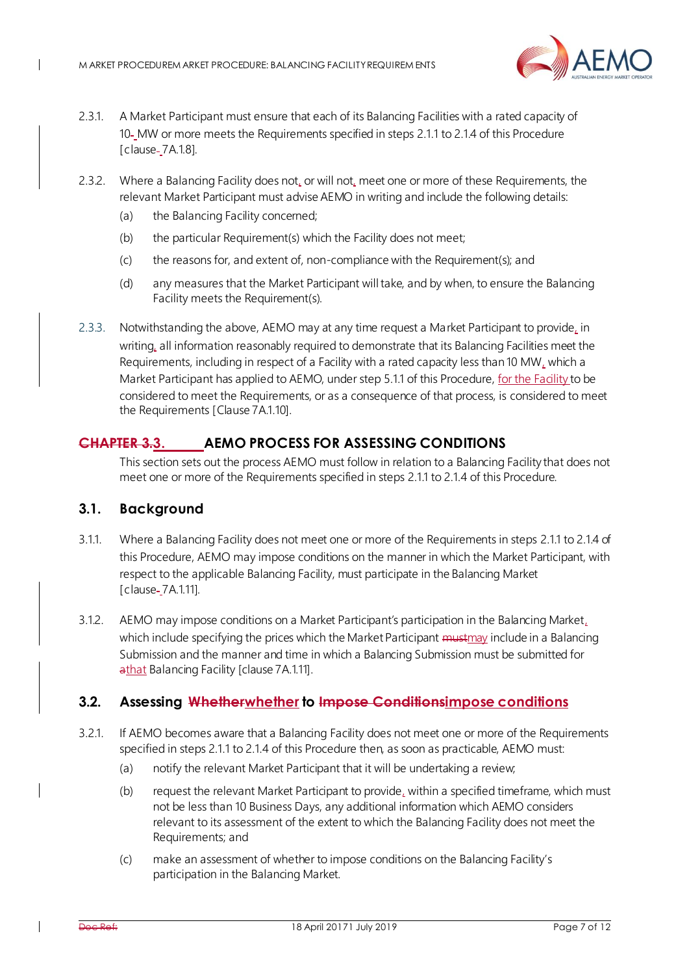

- 2.3.1. A Market Participant must ensure that each of its Balancing Facilities with a rated capacity of 10 MW or more meets the Requirements specified in step[s 2.1.1](#page-5-4) t[o 2.1.4](#page-5-6) of this Procedure [clause-\_7A.1.8].
- 2.3.2. Where a Balancing Facility does not, or will not, meet one or more of these Requirements, the relevant Market Participant must advise AEMO in writing and include the following details:
	- (a) the Balancing Facility concerned;
	- (b) the particular Requirement(s) which the Facility does not meet;
	- (c) the reasons for, and extent of, non-compliance with the Requirement(s); and
	- (d) any measures that the Market Participant will take, and by when, to ensure the Balancing Facility meets the Requirement(s).
- 2.3.3. Notwithstanding the above, AEMO may at any time request a Market Participant to provide, in writing, all information reasonably required to demonstrate that its Balancing Facilities meet the Requirements, including in respect of a Facility with a rated capacity less than 10 MW, which a Market Participant has applied to AEMO, under ste[p 5.1.1](#page-11-2) of this Procedure, for the Facility to be considered to meet the Requirements, or as a consequence of that process, is considered to meet the Requirements [Clause 7A.1.10].

## <span id="page-6-0"></span>**CHAPTER 3.3. AEMO PROCESS FOR ASSESSING CONDITIONS**

This section sets out the process AEMO must follow in relation to a Balancing Facility that does not meet one or more of the Requirements specified in step[s 2.1.1](#page-5-4) t[o 2.1.4](#page-5-6) of this Procedure.

## <span id="page-6-1"></span>**3.1. Background**

 $\mathbf I$ 

- 3.1.1. Where a Balancing Facility does not meet one or more of the Requirements in step[s 2.1.1](#page-5-4) t[o 2.1.4](#page-5-6) of this Procedure, AEMO may impose conditions on the manner in which the Market Participant, with respect to the applicable Balancing Facility, must participate in the Balancing Market [clause-7A.1.11].
- 3.1.2. AEMO may impose conditions on a Market Participant's participation in the Balancing Market, which include specifying the prices which the Market Participant  $m_{\text{H}}$  must may include in a Balancing Submission and the manner and time in which a Balancing Submission must be submitted for athat Balancing Facility [clause 7A.1.11].

## <span id="page-6-2"></span>**3.2. Assessing Whetherwhether to Impose Conditionsimpose conditions**

- <span id="page-6-3"></span>3.2.1. If AEMO becomes aware that a Balancing Facility does not meet one or more of the Requirements specified in step[s 2.1.1](#page-5-4) t[o 2.1.4](#page-5-6) of this Procedure then, as soon as practicable, AEMO must:
	- (a) notify the relevant Market Participant that it will be undertaking a review;
	- (b) request the relevant Market Participant to provide, within a specified timeframe, which must not be less than 10 Business Days, any additional information which AEMO considers relevant to its assessment of the extent to which the Balancing Facility does not meet the Requirements; and
	- (c) make an assessment of whether to impose conditions on the Balancing Facility's participation in the Balancing Market.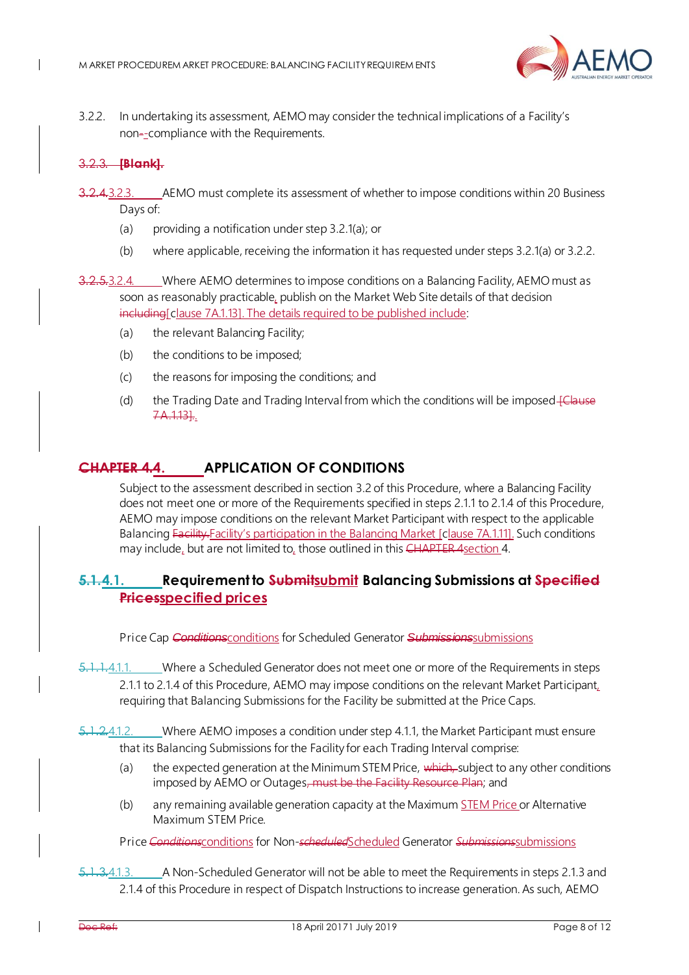

<span id="page-7-2"></span>3.2.2. In undertaking its assessment, AEMO may consider the technical implications of a Facility's non--compliance with the Requirements.

#### 3.2.3. **[Blank].**

- 2.4.3.2.3. AEMO must complete its assessment of whether to impose conditions within 20 Business Days of:
	- (a) providing a notification under step 3.2[.1\(a\)](#page-6-3); or
	- (b) where applicable, receiving the information it has requested under steps 3.2[.1\(a\)](#page-6-3) o[r 3.2.2](#page-7-2).

3.2.5.3.2.4. Where AEMO determines to impose conditions on a Balancing Facility, AEMO must as soon as reasonably practicable, publish on the Market Web Site details of that decision including Clause 7A.1.131. The details required to be published include:

- (a) the relevant Balancing Facility;
- (b) the conditions to be imposed;
- (c) the reasons for imposing the conditions; and
- (d) the Trading Date and Trading Interval from which the conditions will be imposed-felause 7A.1.13]..

## <span id="page-7-0"></span>**CHAPTER 4.4. APPLICATION OF CONDITIONS**

Subject to the assessment described in sectio[n 3.2](#page-6-2) of this Procedure, where a Balancing Facility does not meet one or more of the Requirements specified in step[s 2.1.1](#page-5-4) t[o 2.1.4](#page-5-6) of this Procedure, AEMO may impose conditions on the relevant Market Participant with respect to the applicable Balancing Facility-Facility's participation in the Balancing Market [clause 7A.1.11]. Such conditions may include, but are not limited to, those outlined in this  $CHAPTER$  4 section [4.](#page-7-0)

## <span id="page-7-1"></span>**5.1.4.1. Requirement to Submitsubmit Balancing Submissions at Specified Pricesspecified prices**

Price Cap **Conditions**conditions for Scheduled Generator **Submissions**submissions

<span id="page-7-3"></span>5.1.1.4.1.1. Where a Scheduled Generator does not meet one or more of the Requirements in steps [2.1.1](#page-5-4) t[o 2.1.4](#page-5-6) of this Procedure, AEMO may impose conditions on the relevant Market Participant, requiring that Balancing Submissions for the Facility be submitted at the Price Caps.

5.1.2.4.1.2. Where AEMO imposes a condition under ste[p 4.1.1](#page-7-3), the Market Participant must ensure that its Balancing Submissions for the Facility for each Trading Interval comprise:

- (a) the expected generation at the Minimum STEM Price, which, subject to any other conditions imposed by AEMO or Outages, must be the Facility Resource Plan; and
- (b) any remaining available generation capacity at the Maximum STEM Price or Alternative Maximum STEM Price.

Price Conditions conditions for Non-scheduled Scheduled Generator Submissions Submissions

1.3.4.1.3. A Non-Scheduled Generator will not be able to meet the Requirements in step[s 2.1.3](#page-5-5) and [2.1.4](#page-5-6) of this Procedure in respect of Dispatch Instructions to increase generation. As such, AEMO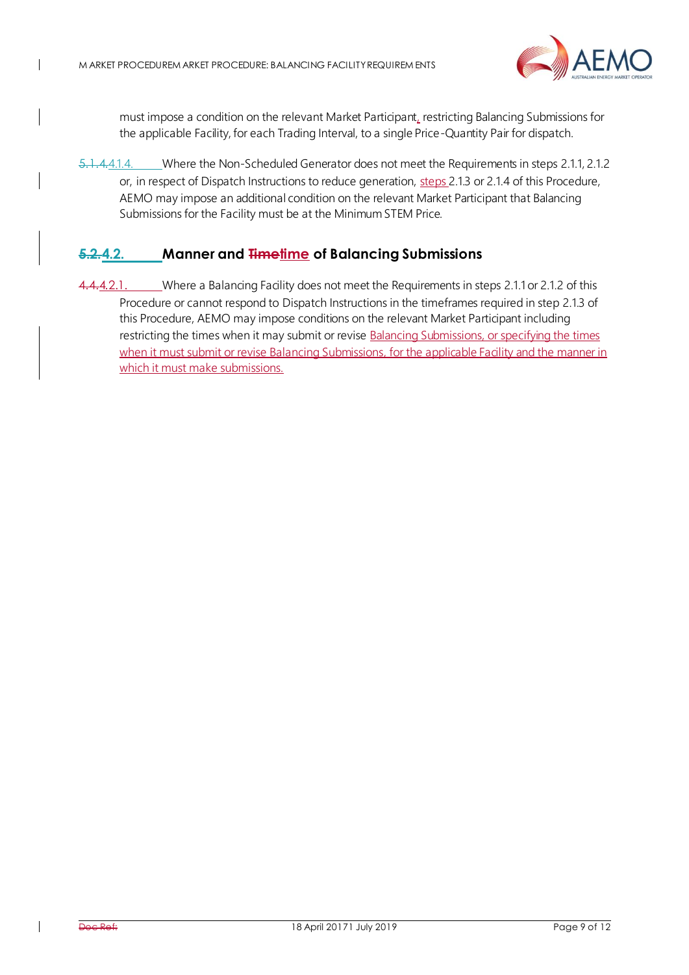$\mathsf{l}$ 



must impose a condition on the relevant Market Participant, restricting Balancing Submissions for the applicable Facility, for each Trading Interval, to a single Price-Quantity Pair for dispatch.

5.1.4.4.1.4. Where the Non-Scheduled Generator does not meet the Requirements in step[s 2.1.1](#page-5-4)[, 2.1.2](#page-5-7) or, in respect of Dispatch Instructions to reduce generation, steps [2.1.3](#page-5-5) o[r 2.1.4](#page-5-6) of this Procedure, AEMO may impose an additional condition on the relevant Market Participant that Balancing Submissions for the Facility must be at the Minimum STEM Price.

## <span id="page-8-0"></span>**5.2.4.2. Manner and Timetime of Balancing Submissions**

4.4.2.1. Where a Balancing Facility does not meet the Requirements in step[s 2.1.1](#page-5-4) o[r 2.1.2](#page-5-7) of this Procedure or cannot respond to Dispatch Instructions in the timeframes required in ste[p 2.1.3](#page-5-5) of this Procedure, AEMO may impose conditions on the relevant Market Participant including restricting the times when it may submit or revise **Balancing Submissions**, or specifying the times when it must submit or revise Balancing Submissions, for the applicable Facility and the manner in which it must make submissions.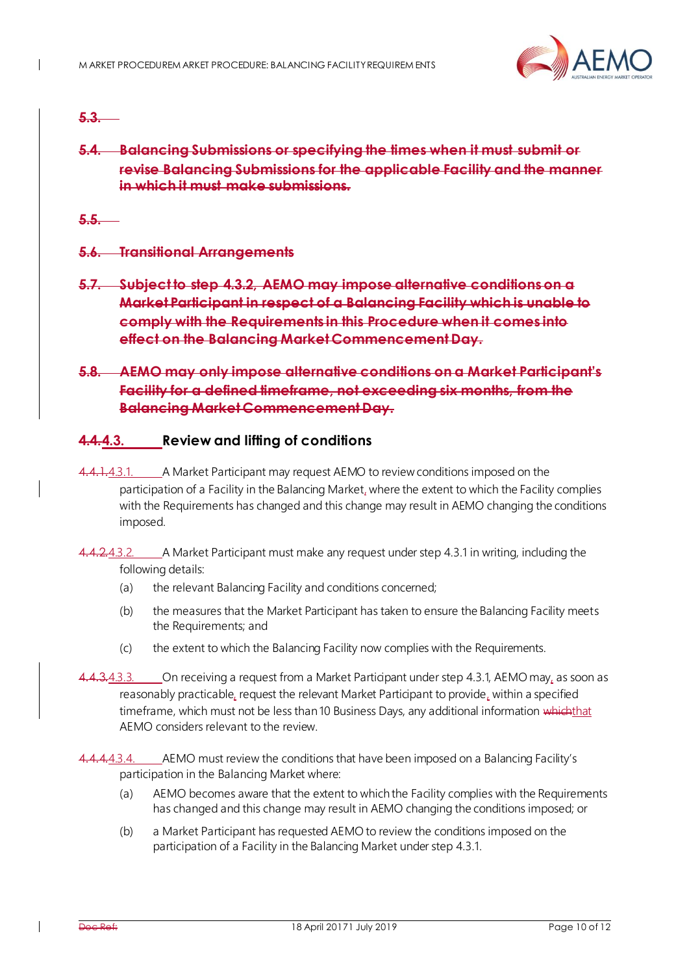

### **5.3.**

## **5.4. Balancing Submissions or specifying the times when it must submit or revise Balancing Submissions for the applicable Facility and the manner in which it must make submissions.**

**5.5.**

**5.6. Transitional Arrangements**

**5.7. Subject to step [4.3.2,](#page-9-1) AEMO may impose alternative conditions on a Market Participant in respect of a Balancing Facility which is unable to comply with the Requirements in this Procedure when it comes into effect on the Balancing Market Commencement Day.** 

## <span id="page-9-1"></span>**5.8. AEMO may only impose alternative conditions on a Market Participant's Facility for a defined timeframe, not exceeding six months, from the Balancing Market Commencement Day.**

## <span id="page-9-0"></span>**4.4.4.3. Review and lifting of conditions**

- <span id="page-9-2"></span>4.1.4.3.1. A Market Participant may request AEMO to review conditions imposed on the participation of a Facility in the Balancing Market, where the extent to which the Facility complies with the Requirements has changed and this change may result in AEMO changing the conditions imposed.
- 4.4.2.4.3.2. A Market Participant must make any request under ste[p 4.3.1](#page-9-2) in writing, including the following details:
	- (a) the relevant Balancing Facility and conditions concerned;
	- (b) the measures that the Market Participant has taken to ensure the Balancing Facility meets the Requirements; and
	- (c) the extent to which the Balancing Facility now complies with the Requirements.

<span id="page-9-5"></span>4.4.3.4.3.3. On receiving a request from a Market Participant under ste[p 4.3.1](#page-9-2), AEMO may, as soon as reasonably practicable, request the relevant Market Participant to provide, within a specified timeframe, which must not be less than 10 Business Days, any additional information whichthat AEMO considers relevant to the review.

<span id="page-9-4"></span><span id="page-9-3"></span>4.4.4.3.4. AEMO must review the conditions that have been imposed on a Balancing Facility's participation in the Balancing Market where:

- (a) AEMO becomes aware that the extent to which the Facility complies with the Requirements has changed and this change may result in AEMO changing the conditions imposed; or
- (b) a Market Participant has requested AEMO to review the conditions imposed on the participation of a Facility in the Balancing Market under ste[p 4.3.1](#page-9-2).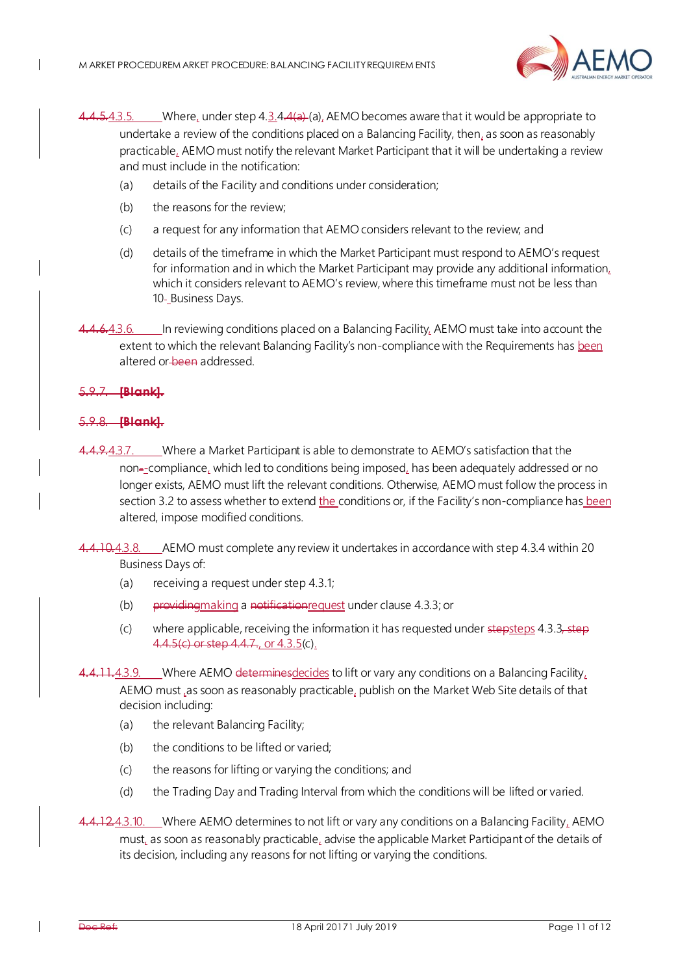

- $4.5.4.3.5.$  Where, under step  $4.3.4.4(a)$  $4.3.4.4(a)$  [\(a\)](#page-9-3), AEMO becomes aware that it would be appropriate to undertake a review of the conditions placed on a Balancing Facility, then, as soon as reasonably practicable, AEMO must notify the relevant Market Participant that it will be undertaking a review and must include in the notification:
	- (a) details of the Facility and conditions under consideration;
	- (b) the reasons for the review;
	- (c) a request for any information that AEMO considers relevant to the review; and
	- (d) details of the timeframe in which the Market Participant must respond to AEMO's request for information and in which the Market Participant may provide any additional information, which it considers relevant to AEMO's review, where this timeframe must not be less than 10-Business Days.
- <span id="page-10-0"></span> $4.4.3.6.$  In reviewing conditions placed on a Balancing Facility, AEMO must take into account the extent to which the relevant Balancing Facility's non-compliance with the Requirements has been altered or been addressed.

#### 5.9.7. **[Blank].**

 $\mathbf I$ 

#### 5.9.8. **[Blank].**

- 4.9.4.3.7. Where a Market Participant is able to demonstrate to AEMO's satisfaction that the non--compliance, which led to conditions being imposed, has been adequately addressed or no longer exists, AEMO must lift the relevant conditions. Otherwise, AEMO must follow the process in sectio[n 3.2](#page-6-2) to assess whether to extend the conditions or, if the Facility's non-compliance has been altered, impose modified conditions.
- 4.10.4.3.8. AEMO must complete any review it undertakes in accordance with ste[p 4.3.4](#page-9-4) within 20 Business Days of:
	- (a) receiving a request under ste[p 4.3.1](#page-9-2);
	- (b) providingmaking a notificationrequest under claus[e 4.3.3](#page-9-5); or
	- (c) where applicable, receiving the information it has requested under  $\frac{\text{step steps}}{4.3.3}$  $\frac{\text{step steps}}{4.3.3}$  $\frac{\text{step steps}}{4.3.3}$ , step 4.4.[5\(c\)](#page-10-0) or step 4.4.7., or 4.3.5(c).

11.4.3.9. Where AEMO determines decides to lift or vary any conditions on a Balancing Facility. AEMO must ,as soon as reasonably practicable, publish on the Market Web Site details of that decision including:

- (a) the relevant Balancing Facility;
- (b) the conditions to be lifted or varied;
- (c) the reasons for lifting or varying the conditions; and
- (d) the Trading Day and Trading Interval from which the conditions will be lifted or varied.

4.12.4.3.10. Where AEMO determines to not lift or vary any conditions on a Balancing Facility, AEMO must, as soon as reasonably practicable, advise the applicable Market Participant of the details of its decision, including any reasons for not lifting or varying the conditions.